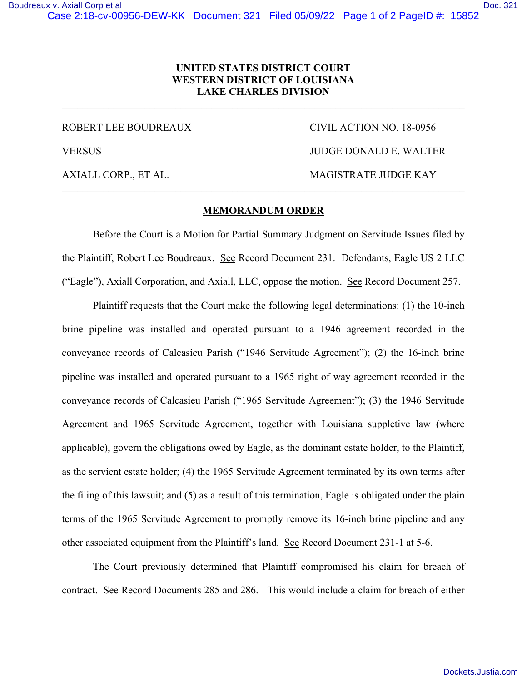## **UNITED STATES DISTRICT COURT WESTERN DISTRICT OF LOUISIANA LAKE CHARLES DIVISION**

\_\_\_\_\_\_\_\_\_\_\_\_\_\_\_\_\_\_\_\_\_\_\_\_\_\_\_\_\_\_\_\_\_\_\_\_\_\_\_\_\_\_\_\_\_\_\_\_\_\_\_\_\_\_\_\_\_\_\_\_\_\_\_\_\_\_\_\_\_\_\_\_\_\_\_\_\_\_

ROBERT LEE BOUDREAUX CIVIL ACTION NO. 18-0956 VERSUS JUDGE DONALD E. WALTER AXIALL CORP., ET AL. MAGISTRATE JUDGE KAY \_\_\_\_\_\_\_\_\_\_\_\_\_\_\_\_\_\_\_\_\_\_\_\_\_\_\_\_\_\_\_\_\_\_\_\_\_\_\_\_\_\_\_\_\_\_\_\_\_\_\_\_\_\_\_\_\_\_\_\_\_\_\_\_\_\_\_\_\_\_\_\_\_\_\_\_\_\_

## **MEMORANDUM ORDER**

Before the Court is a Motion for Partial Summary Judgment on Servitude Issues filed by the Plaintiff, Robert Lee Boudreaux. See Record Document 231. Defendants, Eagle US 2 LLC ("Eagle"), Axiall Corporation, and Axiall, LLC, oppose the motion. See Record Document 257.

Plaintiff requests that the Court make the following legal determinations: (1) the 10-inch brine pipeline was installed and operated pursuant to a 1946 agreement recorded in the conveyance records of Calcasieu Parish ("1946 Servitude Agreement"); (2) the 16-inch brine pipeline was installed and operated pursuant to a 1965 right of way agreement recorded in the conveyance records of Calcasieu Parish ("1965 Servitude Agreement"); (3) the 1946 Servitude Agreement and 1965 Servitude Agreement, together with Louisiana suppletive law (where applicable), govern the obligations owed by Eagle, as the dominant estate holder, to the Plaintiff, as the servient estate holder; (4) the 1965 Servitude Agreement terminated by its own terms after the filing of this lawsuit; and (5) as a result of this termination, Eagle is obligated under the plain terms of the 1965 Servitude Agreement to promptly remove its 16-inch brine pipeline and any other associated equipment from the Plaintiff's land. See Record Document 231-1 at 5-6.

The Court previously determined that Plaintiff compromised his claim for breach of contract. See Record Documents 285 and 286. This would include a claim for breach of either